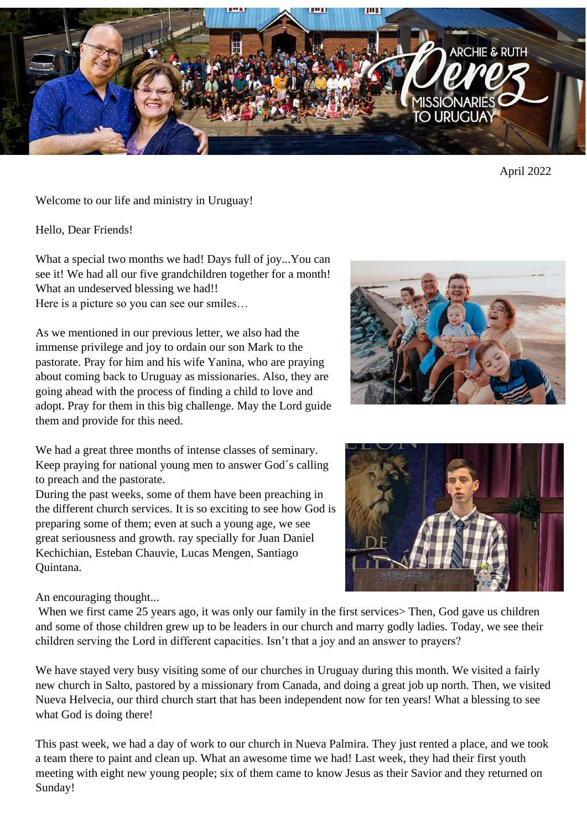

April 2022

Welcome to our life and ministry in Uruguay!

Hello, Dear Friends!

What a special two months we had! Days full of joy...You can see it! We had all our five grandchildren together for a month! What an undeserved blessing we had!!

Here is a picture so you can see our smiles…

As we mentioned in our previous letter, we also had the immense privilege and joy to ordain our son Mark to the pastorate. Pray for him and his wife Yanina, who are praying about coming back to Uruguay as missionaries. Also, they are going ahead with the process of finding a child to love and adopt. Pray for them in this big challenge. May the Lord guide them and provide for this need.



We had a great three months of intense classes of seminary. Keep praying for national young men to answer God´s calling to preach and the pastorate.

During the past weeks, some of them have been preaching in the different church services. It is so exciting to see how God is preparing some of them; even at such a young age, we see great seriousness and growth. ray specially for Juan Daniel Kechichian, Esteban Chauvie, Lucas Mengen, Santiago Quintana.



An encouraging thought...

When we first came 25 years ago, it was only our family in the first services > Then, God gave us children and some of those children grew up to be leaders in our church and marry godly ladies. Today, we see their children serving the Lord in different capacities. Isn't that a joy and an answer to prayers?

We have stayed very busy visiting some of our churches in Uruguay during this month. We visited a fairly new church in Salto, pastored by a missionary from Canada, and doing a great job up north. Then, we visited Nueva Helvecia, our third church start that has been independent now for ten years! What a blessing to see what God is doing there!

This past week, we had a day of work to our church in Nueva Palmira. They just rented a place, and we took a team there to paint and clean up. What an awesome time we had! Last week, they had their first youth meeting with eight new young people; six of them came to know Jesus as their Savior and they returned on Sunday!